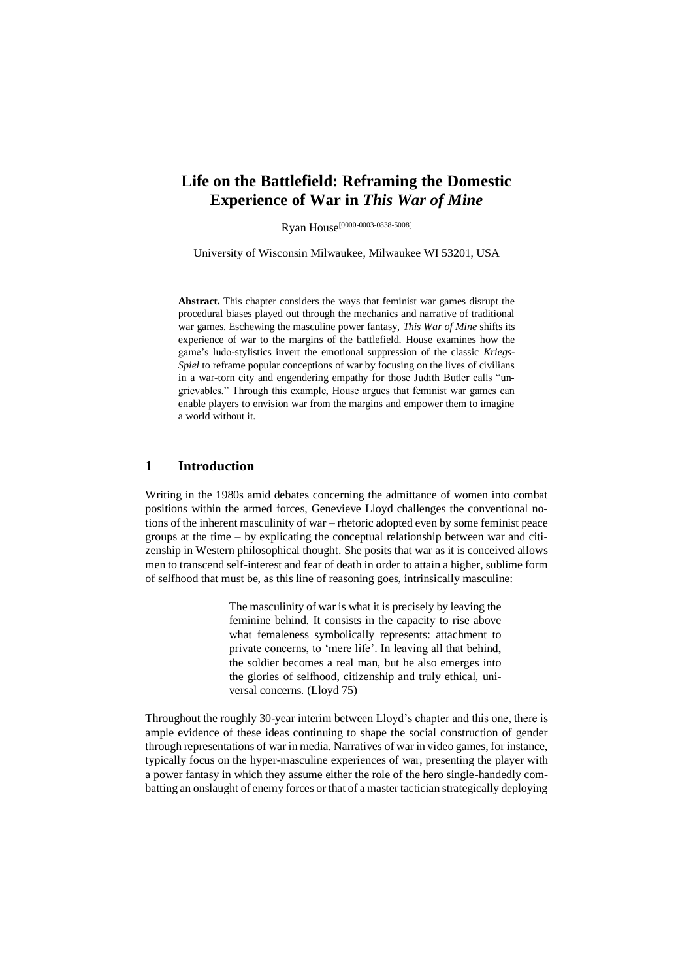# **Life on the Battlefield: Reframing the Domestic Experience of War in** *This War of Mine*

Ryan House[0000-0003-0838-5008]

University of Wisconsin Milwaukee, Milwaukee WI 53201, USA

**Abstract.** This chapter considers the ways that feminist war games disrupt the procedural biases played out through the mechanics and narrative of traditional war games. Eschewing the masculine power fantasy, *This War of Mine* shifts its experience of war to the margins of the battlefield. House examines how the game's ludo-stylistics invert the emotional suppression of the classic *Kriegs-Spiel* to reframe popular conceptions of war by focusing on the lives of civilians in a war-torn city and engendering empathy for those Judith Butler calls "ungrievables." Through this example, House argues that feminist war games can enable players to envision war from the margins and empower them to imagine a world without it.

## **1 Introduction**

Writing in the 1980s amid debates concerning the admittance of women into combat positions within the armed forces, Genevieve Lloyd challenges the conventional notions of the inherent masculinity of war – rhetoric adopted even by some feminist peace groups at the time – by explicating the conceptual relationship between war and citizenship in Western philosophical thought. She posits that war as it is conceived allows men to transcend self-interest and fear of death in order to attain a higher, sublime form of selfhood that must be, as this line of reasoning goes, intrinsically masculine:

> The masculinity of war is what it is precisely by leaving the feminine behind. It consists in the capacity to rise above what femaleness symbolically represents: attachment to private concerns, to 'mere life'. In leaving all that behind, the soldier becomes a real man, but he also emerges into the glories of selfhood, citizenship and truly ethical, universal concerns. (Lloyd 75)

Throughout the roughly 30-year interim between Lloyd's chapter and this one, there is ample evidence of these ideas continuing to shape the social construction of gender through representations of war in media. Narratives of war in video games, for instance, typically focus on the hyper-masculine experiences of war, presenting the player with a power fantasy in which they assume either the role of the hero single-handedly combatting an onslaught of enemy forces or that of a master tactician strategically deploying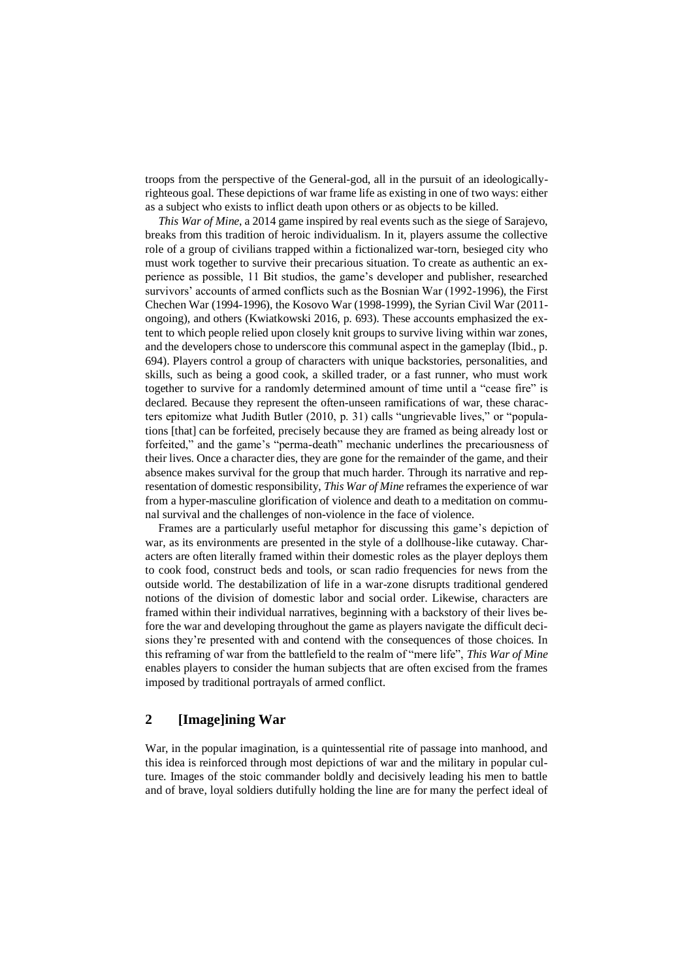troops from the perspective of the General-god, all in the pursuit of an ideologicallyrighteous goal. These depictions of war frame life as existing in one of two ways: either as a subject who exists to inflict death upon others or as objects to be killed.

*This War of Mine*, a 2014 game inspired by real events such as the siege of Sarajevo, breaks from this tradition of heroic individualism. In it, players assume the collective role of a group of civilians trapped within a fictionalized war-torn, besieged city who must work together to survive their precarious situation. To create as authentic an experience as possible, 11 Bit studios, the game's developer and publisher, researched survivors' accounts of armed conflicts such as the Bosnian War (1992-1996), the First Chechen War (1994-1996), the Kosovo War (1998-1999), the Syrian Civil War (2011 ongoing), and others (Kwiatkowski 2016, p. 693). These accounts emphasized the extent to which people relied upon closely knit groups to survive living within war zones, and the developers chose to underscore this communal aspect in the gameplay (Ibid., p. 694). Players control a group of characters with unique backstories, personalities, and skills, such as being a good cook, a skilled trader, or a fast runner, who must work together to survive for a randomly determined amount of time until a "cease fire" is declared. Because they represent the often-unseen ramifications of war, these characters epitomize what Judith Butler (2010, p. 31) calls "ungrievable lives," or "populations [that] can be forfeited, precisely because they are framed as being already lost or forfeited," and the game's "perma-death" mechanic underlines the precariousness of their lives. Once a character dies, they are gone for the remainder of the game, and their absence makes survival for the group that much harder. Through its narrative and representation of domestic responsibility, *This War of Mine* reframes the experience of war from a hyper-masculine glorification of violence and death to a meditation on communal survival and the challenges of non-violence in the face of violence.

Frames are a particularly useful metaphor for discussing this game's depiction of war, as its environments are presented in the style of a dollhouse-like cutaway. Characters are often literally framed within their domestic roles as the player deploys them to cook food, construct beds and tools, or scan radio frequencies for news from the outside world. The destabilization of life in a war-zone disrupts traditional gendered notions of the division of domestic labor and social order. Likewise, characters are framed within their individual narratives, beginning with a backstory of their lives before the war and developing throughout the game as players navigate the difficult decisions they're presented with and contend with the consequences of those choices. In this reframing of war from the battlefield to the realm of "mere life", *This War of Mine* enables players to consider the human subjects that are often excised from the frames imposed by traditional portrayals of armed conflict.

## **2 [Image]ining War**

War, in the popular imagination, is a quintessential rite of passage into manhood, and this idea is reinforced through most depictions of war and the military in popular culture. Images of the stoic commander boldly and decisively leading his men to battle and of brave, loyal soldiers dutifully holding the line are for many the perfect ideal of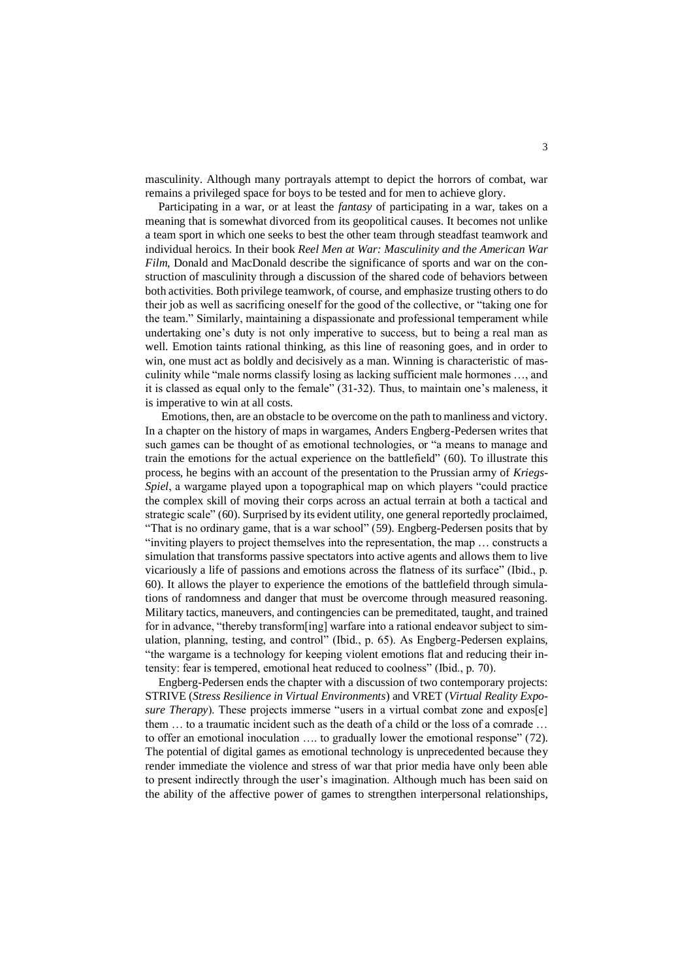masculinity. Although many portrayals attempt to depict the horrors of combat, war remains a privileged space for boys to be tested and for men to achieve glory.

Participating in a war, or at least the *fantasy* of participating in a war, takes on a meaning that is somewhat divorced from its geopolitical causes. It becomes not unlike a team sport in which one seeks to best the other team through steadfast teamwork and individual heroics. In their book *Reel Men at War: Masculinity and the American War Film*, Donald and MacDonald describe the significance of sports and war on the construction of masculinity through a discussion of the shared code of behaviors between both activities. Both privilege teamwork, of course, and emphasize trusting others to do their job as well as sacrificing oneself for the good of the collective, or "taking one for the team." Similarly, maintaining a dispassionate and professional temperament while undertaking one's duty is not only imperative to success, but to being a real man as well. Emotion taints rational thinking, as this line of reasoning goes, and in order to win, one must act as boldly and decisively as a man. Winning is characteristic of masculinity while "male norms classify losing as lacking sufficient male hormones …, and it is classed as equal only to the female" (31-32). Thus, to maintain one's maleness, it is imperative to win at all costs.

Emotions, then, are an obstacle to be overcome on the path to manliness and victory. In a chapter on the history of maps in wargames, Anders Engberg-Pedersen writes that such games can be thought of as emotional technologies, or "a means to manage and train the emotions for the actual experience on the battlefield" (60). To illustrate this process, he begins with an account of the presentation to the Prussian army of *Kriegs-Spiel*, a wargame played upon a topographical map on which players "could practice the complex skill of moving their corps across an actual terrain at both a tactical and strategic scale" (60). Surprised by its evident utility, one general reportedly proclaimed, "That is no ordinary game, that is a war school" (59). Engberg-Pedersen posits that by "inviting players to project themselves into the representation, the map … constructs a simulation that transforms passive spectators into active agents and allows them to live vicariously a life of passions and emotions across the flatness of its surface" (Ibid., p. 60). It allows the player to experience the emotions of the battlefield through simulations of randomness and danger that must be overcome through measured reasoning. Military tactics, maneuvers, and contingencies can be premeditated, taught, and trained for in advance, "thereby transform[ing] warfare into a rational endeavor subject to simulation, planning, testing, and control" (Ibid., p. 65). As Engberg-Pedersen explains, "the wargame is a technology for keeping violent emotions flat and reducing their intensity: fear is tempered, emotional heat reduced to coolness" (Ibid., p. 70).

Engberg-Pedersen ends the chapter with a discussion of two contemporary projects: STRIVE (*Stress Resilience in Virtual Environments*) and VRET (*Virtual Reality Exposure Therapy*). These projects immerse "users in a virtual combat zone and expos[e] them … to a traumatic incident such as the death of a child or the loss of a comrade … to offer an emotional inoculation …. to gradually lower the emotional response" (72). The potential of digital games as emotional technology is unprecedented because they render immediate the violence and stress of war that prior media have only been able to present indirectly through the user's imagination. Although much has been said on the ability of the affective power of games to strengthen interpersonal relationships,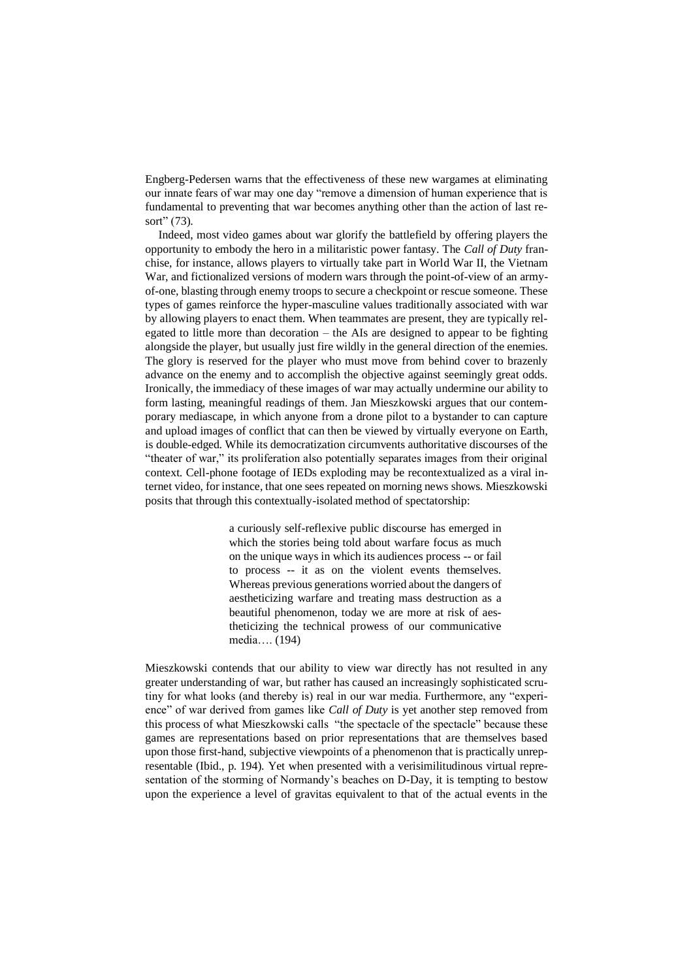Engberg-Pedersen warns that the effectiveness of these new wargames at eliminating our innate fears of war may one day "remove a dimension of human experience that is fundamental to preventing that war becomes anything other than the action of last resort" (73).

Indeed, most video games about war glorify the battlefield by offering players the opportunity to embody the hero in a militaristic power fantasy. The *Call of Duty* franchise, for instance, allows players to virtually take part in World War II, the Vietnam War, and fictionalized versions of modern wars through the point-of-view of an armyof-one, blasting through enemy troops to secure a checkpoint or rescue someone. These types of games reinforce the hyper-masculine values traditionally associated with war by allowing players to enact them. When teammates are present, they are typically relegated to little more than decoration – the AIs are designed to appear to be fighting alongside the player, but usually just fire wildly in the general direction of the enemies. The glory is reserved for the player who must move from behind cover to brazenly advance on the enemy and to accomplish the objective against seemingly great odds. Ironically, the immediacy of these images of war may actually undermine our ability to form lasting, meaningful readings of them. Jan Mieszkowski argues that our contemporary mediascape, in which anyone from a drone pilot to a bystander to can capture and upload images of conflict that can then be viewed by virtually everyone on Earth, is double-edged. While its democratization circumvents authoritative discourses of the "theater of war," its proliferation also potentially separates images from their original context. Cell-phone footage of IEDs exploding may be recontextualized as a viral internet video, for instance, that one sees repeated on morning news shows. Mieszkowski posits that through this contextually-isolated method of spectatorship:

> a curiously self-reflexive public discourse has emerged in which the stories being told about warfare focus as much on the unique ways in which its audiences process -- or fail to process -- it as on the violent events themselves. Whereas previous generations worried about the dangers of aestheticizing warfare and treating mass destruction as a beautiful phenomenon, today we are more at risk of aestheticizing the technical prowess of our communicative media…. (194)

Mieszkowski contends that our ability to view war directly has not resulted in any greater understanding of war, but rather has caused an increasingly sophisticated scrutiny for what looks (and thereby is) real in our war media. Furthermore, any "experience" of war derived from games like *Call of Duty* is yet another step removed from this process of what Mieszkowski calls "the spectacle of the spectacle" because these games are representations based on prior representations that are themselves based upon those first-hand, subjective viewpoints of a phenomenon that is practically unrepresentable (Ibid., p. 194). Yet when presented with a verisimilitudinous virtual representation of the storming of Normandy's beaches on D-Day, it is tempting to bestow upon the experience a level of gravitas equivalent to that of the actual events in the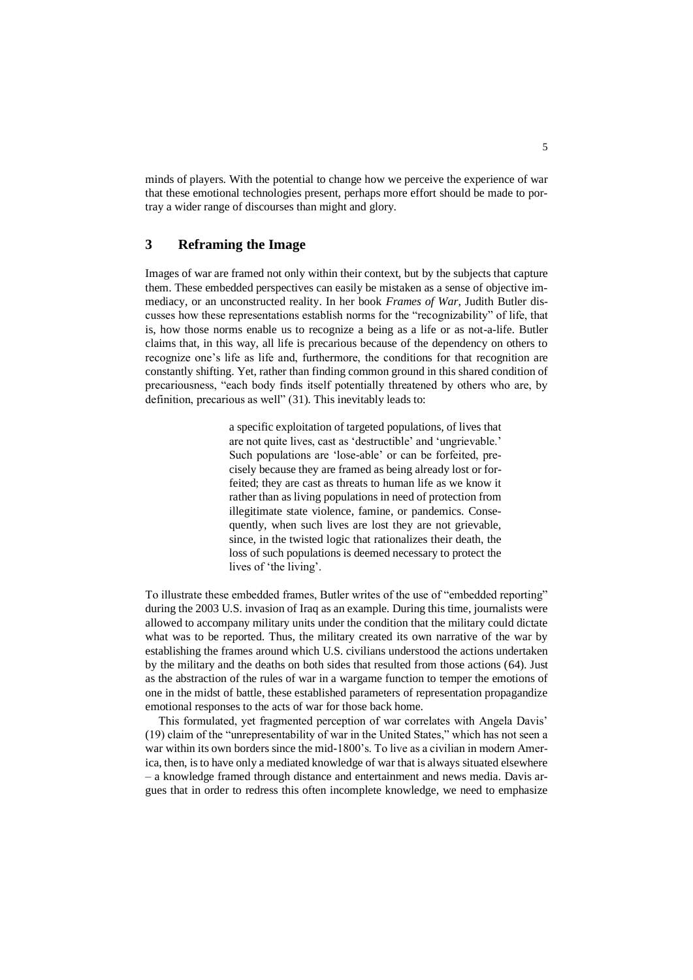minds of players. With the potential to change how we perceive the experience of war that these emotional technologies present, perhaps more effort should be made to portray a wider range of discourses than might and glory.

## **3 Reframing the Image**

Images of war are framed not only within their context, but by the subjects that capture them. These embedded perspectives can easily be mistaken as a sense of objective immediacy, or an unconstructed reality. In her book *Frames of War*, Judith Butler discusses how these representations establish norms for the "recognizability" of life, that is, how those norms enable us to recognize a being as a life or as not-a-life. Butler claims that, in this way, all life is precarious because of the dependency on others to recognize one's life as life and, furthermore, the conditions for that recognition are constantly shifting. Yet, rather than finding common ground in this shared condition of precariousness, "each body finds itself potentially threatened by others who are, by definition, precarious as well" (31). This inevitably leads to:

> a specific exploitation of targeted populations, of lives that are not quite lives, cast as 'destructible' and 'ungrievable.' Such populations are 'lose-able' or can be forfeited, precisely because they are framed as being already lost or forfeited; they are cast as threats to human life as we know it rather than as living populations in need of protection from illegitimate state violence, famine, or pandemics. Consequently, when such lives are lost they are not grievable, since, in the twisted logic that rationalizes their death, the loss of such populations is deemed necessary to protect the lives of 'the living'.

To illustrate these embedded frames, Butler writes of the use of "embedded reporting" during the 2003 U.S. invasion of Iraq as an example. During this time, journalists were allowed to accompany military units under the condition that the military could dictate what was to be reported. Thus, the military created its own narrative of the war by establishing the frames around which U.S. civilians understood the actions undertaken by the military and the deaths on both sides that resulted from those actions (64). Just as the abstraction of the rules of war in a wargame function to temper the emotions of one in the midst of battle, these established parameters of representation propagandize emotional responses to the acts of war for those back home.

This formulated, yet fragmented perception of war correlates with Angela Davis' (19) claim of the "unrepresentability of war in the United States," which has not seen a war within its own borders since the mid-1800's. To live as a civilian in modern America, then, is to have only a mediated knowledge of war that is always situated elsewhere – a knowledge framed through distance and entertainment and news media. Davis argues that in order to redress this often incomplete knowledge, we need to emphasize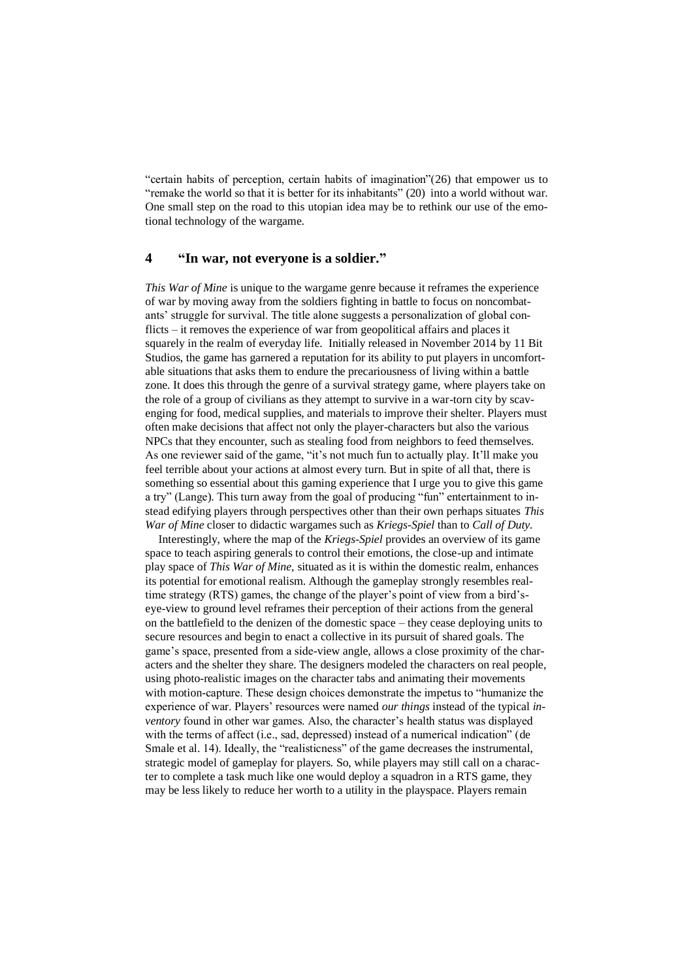"certain habits of perception, certain habits of imagination"(26) that empower us to "remake the world so that it is better for its inhabitants" (20) into a world without war. One small step on the road to this utopian idea may be to rethink our use of the emotional technology of the wargame.

### **4 "In war, not everyone is a soldier."**

*This War of Mine* is unique to the wargame genre because it reframes the experience of war by moving away from the soldiers fighting in battle to focus on noncombatants' struggle for survival. The title alone suggests a personalization of global conflicts – it removes the experience of war from geopolitical affairs and places it squarely in the realm of everyday life. Initially released in November 2014 by 11 Bit Studios, the game has garnered a reputation for its ability to put players in uncomfortable situations that asks them to endure the precariousness of living within a battle zone. It does this through the genre of a survival strategy game, where players take on the role of a group of civilians as they attempt to survive in a war-torn city by scavenging for food, medical supplies, and materials to improve their shelter. Players must often make decisions that affect not only the player-characters but also the various NPCs that they encounter, such as stealing food from neighbors to feed themselves. As one reviewer said of the game, "it's not much fun to actually play. It'll make you feel terrible about your actions at almost every turn. But in spite of all that, there is something so essential about this gaming experience that I urge you to give this game a try" (Lange). This turn away from the goal of producing "fun" entertainment to instead edifying players through perspectives other than their own perhaps situates *This War of Mine* closer to didactic wargames such as *Kriegs-Spiel* than to *Call of Duty.*

Interestingly, where the map of the *Kriegs-Spiel* provides an overview of its game space to teach aspiring generals to control their emotions, the close-up and intimate play space of *This War of Mine*, situated as it is within the domestic realm, enhances its potential for emotional realism. Although the gameplay strongly resembles realtime strategy (RTS) games, the change of the player's point of view from a bird'seye-view to ground level reframes their perception of their actions from the general on the battlefield to the denizen of the domestic space – they cease deploying units to secure resources and begin to enact a collective in its pursuit of shared goals. The game's space, presented from a side-view angle, allows a close proximity of the characters and the shelter they share. The designers modeled the characters on real people, using photo-realistic images on the character tabs and animating their movements with motion-capture. These design choices demonstrate the impetus to "humanize the experience of war. Players' resources were named *our things* instead of the typical *inventory* found in other war games. Also, the character's health status was displayed with the terms of affect (i.e., sad, depressed) instead of a numerical indication" (de Smale et al. 14). Ideally, the "realisticness" of the game decreases the instrumental, strategic model of gameplay for players. So, while players may still call on a character to complete a task much like one would deploy a squadron in a RTS game, they may be less likely to reduce her worth to a utility in the playspace. Players remain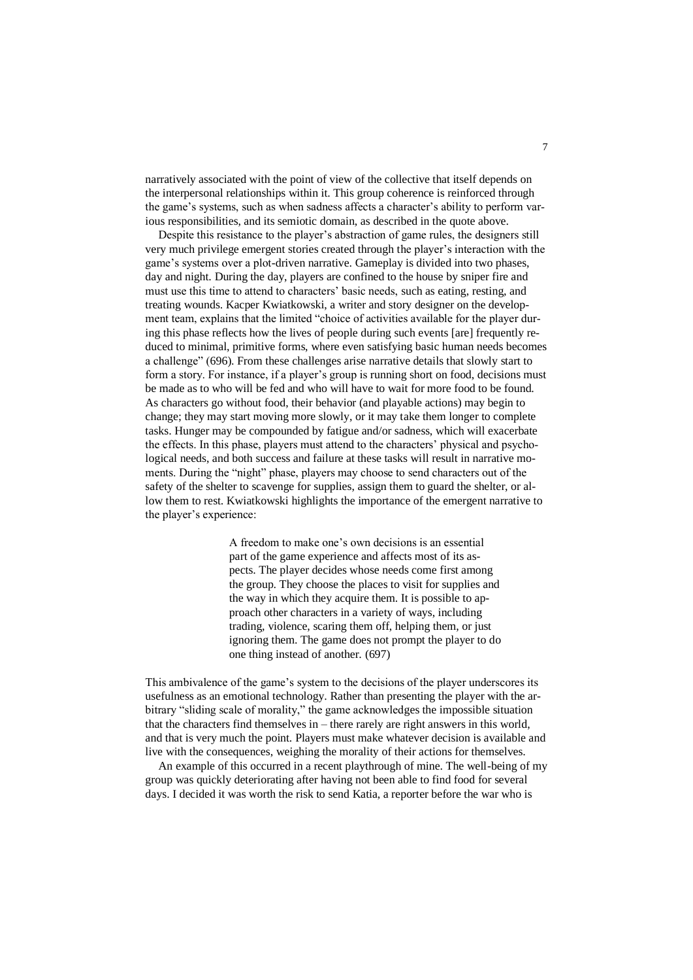narratively associated with the point of view of the collective that itself depends on the interpersonal relationships within it. This group coherence is reinforced through the game's systems, such as when sadness affects a character's ability to perform various responsibilities, and its semiotic domain, as described in the quote above.

Despite this resistance to the player's abstraction of game rules, the designers still very much privilege emergent stories created through the player's interaction with the game's systems over a plot-driven narrative. Gameplay is divided into two phases, day and night. During the day, players are confined to the house by sniper fire and must use this time to attend to characters' basic needs, such as eating, resting, and treating wounds. Kacper Kwiatkowski, a writer and story designer on the development team, explains that the limited "choice of activities available for the player during this phase reflects how the lives of people during such events [are] frequently reduced to minimal, primitive forms, where even satisfying basic human needs becomes a challenge" (696). From these challenges arise narrative details that slowly start to form a story. For instance, if a player's group is running short on food, decisions must be made as to who will be fed and who will have to wait for more food to be found. As characters go without food, their behavior (and playable actions) may begin to change; they may start moving more slowly, or it may take them longer to complete tasks. Hunger may be compounded by fatigue and/or sadness, which will exacerbate the effects. In this phase, players must attend to the characters' physical and psychological needs, and both success and failure at these tasks will result in narrative moments. During the "night" phase, players may choose to send characters out of the safety of the shelter to scavenge for supplies, assign them to guard the shelter, or allow them to rest. Kwiatkowski highlights the importance of the emergent narrative to the player's experience:

> A freedom to make one's own decisions is an essential part of the game experience and affects most of its aspects. The player decides whose needs come first among the group. They choose the places to visit for supplies and the way in which they acquire them. It is possible to approach other characters in a variety of ways, including trading, violence, scaring them off, helping them, or just ignoring them. The game does not prompt the player to do one thing instead of another. (697)

This ambivalence of the game's system to the decisions of the player underscores its usefulness as an emotional technology. Rather than presenting the player with the arbitrary "sliding scale of morality," the game acknowledges the impossible situation that the characters find themselves in – there rarely are right answers in this world, and that is very much the point. Players must make whatever decision is available and live with the consequences, weighing the morality of their actions for themselves.

An example of this occurred in a recent playthrough of mine. The well-being of my group was quickly deteriorating after having not been able to find food for several days. I decided it was worth the risk to send Katia, a reporter before the war who is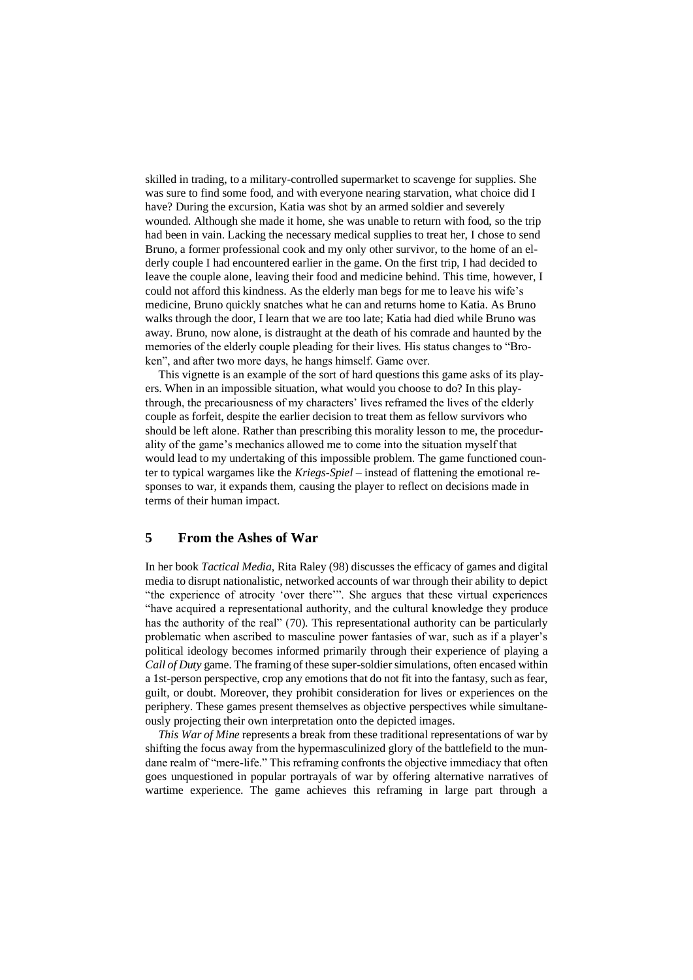skilled in trading, to a military-controlled supermarket to scavenge for supplies. She was sure to find some food, and with everyone nearing starvation, what choice did I have? During the excursion, Katia was shot by an armed soldier and severely wounded. Although she made it home, she was unable to return with food, so the trip had been in vain. Lacking the necessary medical supplies to treat her, I chose to send Bruno, a former professional cook and my only other survivor, to the home of an elderly couple I had encountered earlier in the game. On the first trip, I had decided to leave the couple alone, leaving their food and medicine behind. This time, however, I could not afford this kindness. As the elderly man begs for me to leave his wife's medicine, Bruno quickly snatches what he can and returns home to Katia. As Bruno walks through the door, I learn that we are too late; Katia had died while Bruno was away. Bruno, now alone, is distraught at the death of his comrade and haunted by the memories of the elderly couple pleading for their lives. His status changes to "Broken", and after two more days, he hangs himself. Game over.

This vignette is an example of the sort of hard questions this game asks of its players. When in an impossible situation, what would you choose to do? In this playthrough, the precariousness of my characters' lives reframed the lives of the elderly couple as forfeit, despite the earlier decision to treat them as fellow survivors who should be left alone. Rather than prescribing this morality lesson to me, the procedurality of the game's mechanics allowed me to come into the situation myself that would lead to my undertaking of this impossible problem. The game functioned counter to typical wargames like the *Kriegs-Spiel* – instead of flattening the emotional responses to war, it expands them, causing the player to reflect on decisions made in terms of their human impact.

### **5 From the Ashes of War**

In her book *Tactical Media*, Rita Raley (98) discusses the efficacy of games and digital media to disrupt nationalistic, networked accounts of war through their ability to depict "the experience of atrocity 'over there'". She argues that these virtual experiences "have acquired a representational authority, and the cultural knowledge they produce has the authority of the real" (70). This representational authority can be particularly problematic when ascribed to masculine power fantasies of war, such as if a player's political ideology becomes informed primarily through their experience of playing a *Call of Duty* game. The framing of these super-soldier simulations, often encased within a 1st-person perspective, crop any emotions that do not fit into the fantasy, such as fear, guilt, or doubt. Moreover, they prohibit consideration for lives or experiences on the periphery. These games present themselves as objective perspectives while simultaneously projecting their own interpretation onto the depicted images.

*This War of Mine* represents a break from these traditional representations of war by shifting the focus away from the hypermasculinized glory of the battlefield to the mundane realm of "mere-life." This reframing confronts the objective immediacy that often goes unquestioned in popular portrayals of war by offering alternative narratives of wartime experience. The game achieves this reframing in large part through a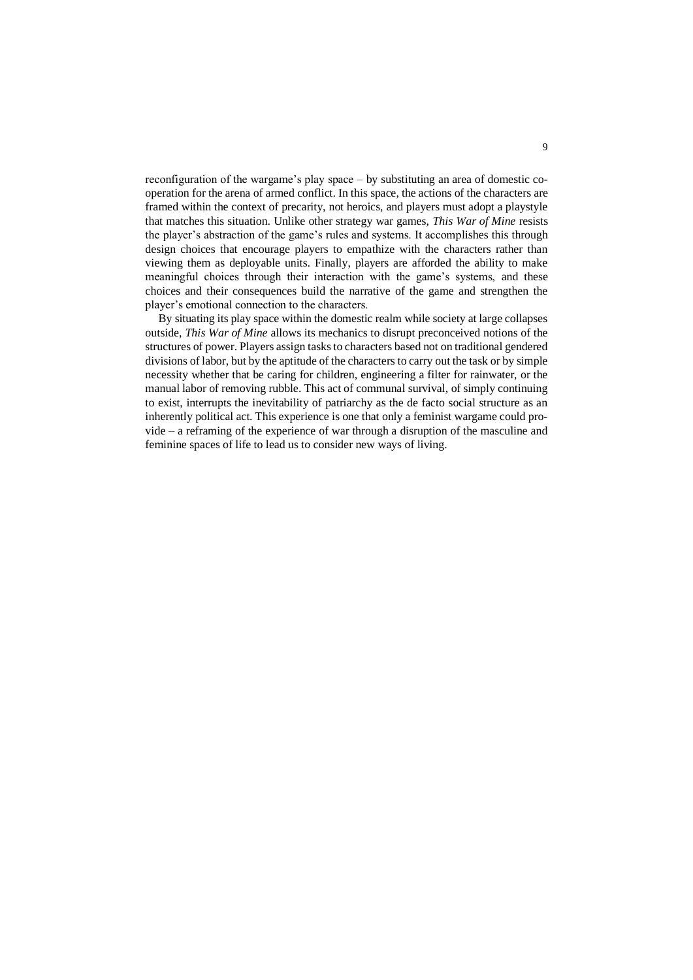reconfiguration of the wargame's play space – by substituting an area of domestic cooperation for the arena of armed conflict. In this space, the actions of the characters are framed within the context of precarity, not heroics, and players must adopt a playstyle that matches this situation. Unlike other strategy war games, *This War of Mine* resists the player's abstraction of the game's rules and systems. It accomplishes this through design choices that encourage players to empathize with the characters rather than viewing them as deployable units. Finally, players are afforded the ability to make meaningful choices through their interaction with the game's systems, and these choices and their consequences build the narrative of the game and strengthen the player's emotional connection to the characters.

By situating its play space within the domestic realm while society at large collapses outside, *This War of Mine* allows its mechanics to disrupt preconceived notions of the structures of power. Players assign tasks to characters based not on traditional gendered divisions of labor, but by the aptitude of the characters to carry out the task or by simple necessity whether that be caring for children, engineering a filter for rainwater, or the manual labor of removing rubble. This act of communal survival, of simply continuing to exist, interrupts the inevitability of patriarchy as the de facto social structure as an inherently political act. This experience is one that only a feminist wargame could provide – a reframing of the experience of war through a disruption of the masculine and feminine spaces of life to lead us to consider new ways of living.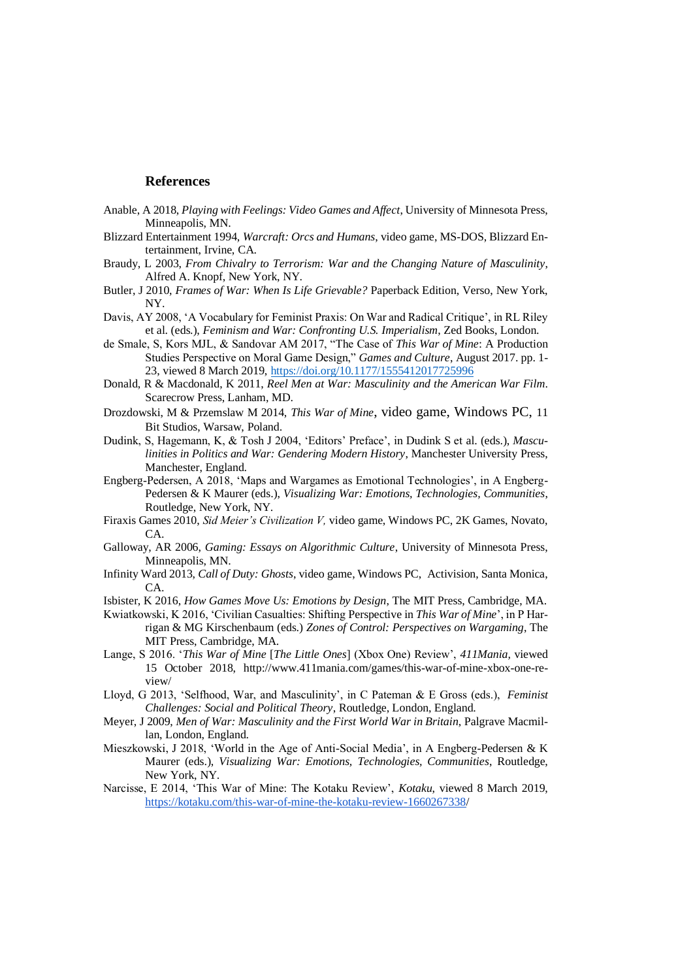#### **References**

- Anable, A 2018, *Playing with Feelings: Video Games and Affect*, University of Minnesota Press, Minneapolis, MN.
- Blizzard Entertainment 1994, *Warcraft: Orcs and Humans*, video game, MS-DOS, Blizzard Entertainment, Irvine, CA.
- Braudy, L 2003, *From Chivalry to Terrorism: War and the Changing Nature of Masculinity*, Alfred A. Knopf, New York, NY.
- Butler, J 2010, *Frames of War: When Is Life Grievable?* Paperback Edition, Verso, New York, NY.
- Davis, AY 2008, 'A Vocabulary for Feminist Praxis: On War and Radical Critique', in RL Riley et al. (eds.), *Feminism and War: Confronting U.S. Imperialism*, Zed Books, London.
- de Smale, S, Kors MJL, & Sandovar AM 2017, "The Case of *This War of Mine*: A Production Studies Perspective on Moral Game Design," *Games and Culture*, August 2017. pp. 1- 23, viewed 8 March 2019,<https://doi.org/10.1177/1555412017725996>
- Donald, R & Macdonald, K 2011, *Reel Men at War: Masculinity and the American War Film*. Scarecrow Press, Lanham, MD.
- Drozdowski, M & Przemslaw M 2014, *This War of Mine*, video game, Windows PC, 11 Bit Studios, Warsaw, Poland.
- Dudink, S, Hagemann, K, & Tosh J 2004, 'Editors' Preface', in Dudink S et al. (eds.), *Masculinities in Politics and War: Gendering Modern History*, Manchester University Press, Manchester, England.
- Engberg-Pedersen, A 2018, 'Maps and Wargames as Emotional Technologies', in A Engberg-Pedersen & K Maurer (eds.), *Visualizing War: Emotions, Technologies, Communities*, Routledge, New York, NY.
- Firaxis Games 2010, *Sid Meier's Civilization V,* video game, Windows PC, 2K Games, Novato,  $\mathsf{C}\mathsf{A}$
- Galloway, AR 2006, *Gaming: Essays on Algorithmic Culture*, University of Minnesota Press, Minneapolis, MN.
- Infinity Ward 2013, *Call of Duty: Ghosts*, video game, Windows PC, Activision, Santa Monica,  $CA$
- Isbister, K 2016, *How Games Move Us: Emotions by Design*, The MIT Press, Cambridge, MA.
- Kwiatkowski, K 2016, 'Civilian Casualties: Shifting Perspective in *This War of Mine*', in P Harrigan & MG Kirschenbaum (eds.) *Zones of Control: Perspectives on Wargaming*, The MIT Press, Cambridge, MA.
- Lange, S 2016. '*This War of Mine* [*The Little Ones*] (Xbox One) Review', *411Mania,* viewed 15 October 2018, http://www.411mania.com/games/this-war-of-mine-xbox-one-review/
- Lloyd, G 2013, 'Selfhood, War, and Masculinity', in C Pateman & E Gross (eds.), *Feminist Challenges: Social and Political Theory*, Routledge, London, England.
- Meyer, J 2009, *Men of War: Masculinity and the First World War in Britain*, Palgrave Macmillan, London, England.
- Mieszkowski, J 2018, 'World in the Age of Anti-Social Media', in A Engberg-Pedersen & K Maurer (eds.), *Visualizing War: Emotions, Technologies, Communities*, Routledge, New York, NY.
- Narcisse, E 2014, 'This War of Mine: The Kotaku Review', *Kotaku*, viewed 8 March 2019, [https://kotaku.com/this-war-of-mine-the-kotaku-review-1660267338/](https://kotaku.com/this-war-of-mine-the-kotaku-review-1660267338)